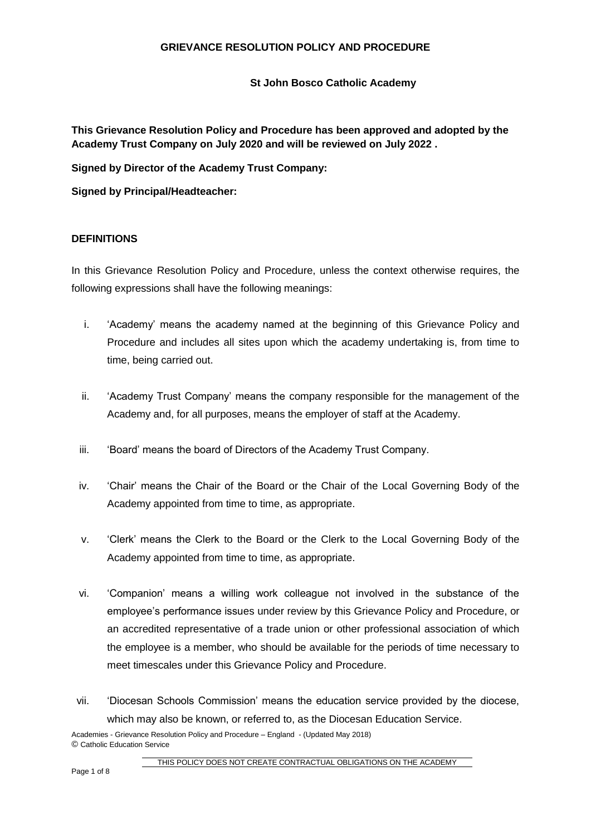**St John Bosco Catholic Academy**

**This Grievance Resolution Policy and Procedure has been approved and adopted by the Academy Trust Company on July 2020 and will be reviewed on July 2022 .**

**Signed by Director of the Academy Trust Company:**

**Signed by Principal/Headteacher:**

### **DEFINITIONS**

In this Grievance Resolution Policy and Procedure, unless the context otherwise requires, the following expressions shall have the following meanings:

- i. 'Academy' means the academy named at the beginning of this Grievance Policy and Procedure and includes all sites upon which the academy undertaking is, from time to time, being carried out.
- ii. 'Academy Trust Company' means the company responsible for the management of the Academy and, for all purposes, means the employer of staff at the Academy.
- iii. 'Board' means the board of Directors of the Academy Trust Company.
- iv. 'Chair' means the Chair of the Board or the Chair of the Local Governing Body of the Academy appointed from time to time, as appropriate.
- v. 'Clerk' means the Clerk to the Board or the Clerk to the Local Governing Body of the Academy appointed from time to time, as appropriate.
- vi. 'Companion' means a willing work colleague not involved in the substance of the employee's performance issues under review by this Grievance Policy and Procedure, or an accredited representative of a trade union or other professional association of which the employee is a member, who should be available for the periods of time necessary to meet timescales under this Grievance Policy and Procedure.
- vii. 'Diocesan Schools Commission' means the education service provided by the diocese, which may also be known, or referred to, as the Diocesan Education Service.

Academies - Grievance Resolution Policy and Procedure – England - (Updated May 2018) © Catholic Education Service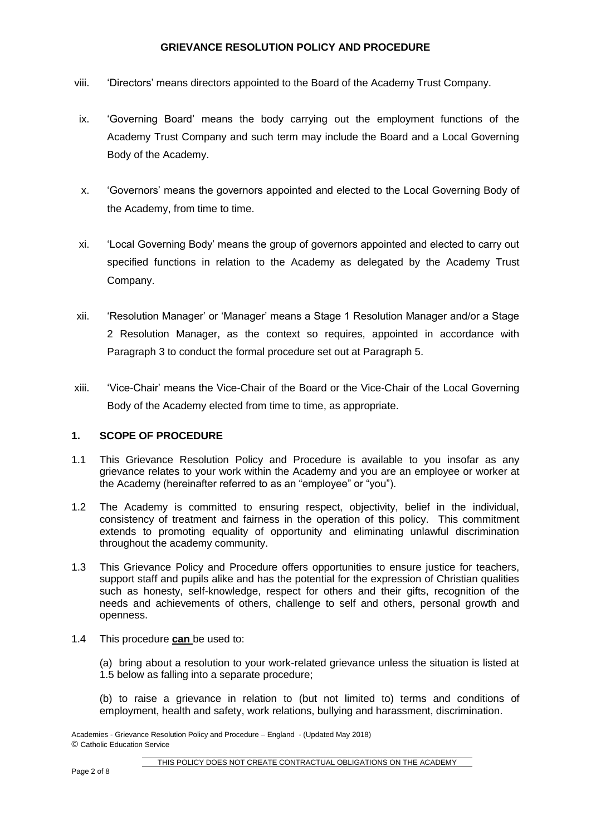- viii. 'Directors' means directors appointed to the Board of the Academy Trust Company.
- ix. 'Governing Board' means the body carrying out the employment functions of the Academy Trust Company and such term may include the Board and a Local Governing Body of the Academy.
- x. 'Governors' means the governors appointed and elected to the Local Governing Body of the Academy, from time to time.
- xi. 'Local Governing Body' means the group of governors appointed and elected to carry out specified functions in relation to the Academy as delegated by the Academy Trust Company.
- xii. 'Resolution Manager' or 'Manager' means a Stage 1 Resolution Manager and/or a Stage 2 Resolution Manager, as the context so requires, appointed in accordance with Paragraph 3 to conduct the formal procedure set out at Paragraph 5.
- xiii. 'Vice-Chair' means the Vice-Chair of the Board or the Vice-Chair of the Local Governing Body of the Academy elected from time to time, as appropriate.

### **1. SCOPE OF PROCEDURE**

- 1.1 This Grievance Resolution Policy and Procedure is available to you insofar as any grievance relates to your work within the Academy and you are an employee or worker at the Academy (hereinafter referred to as an "employee" or "you").
- 1.2 The Academy is committed to ensuring respect, objectivity, belief in the individual, consistency of treatment and fairness in the operation of this policy. This commitment extends to promoting equality of opportunity and eliminating unlawful discrimination throughout the academy community.
- 1.3 This Grievance Policy and Procedure offers opportunities to ensure justice for teachers, support staff and pupils alike and has the potential for the expression of Christian qualities such as honesty, self-knowledge, respect for others and their gifts, recognition of the needs and achievements of others, challenge to self and others, personal growth and openness.
- 1.4 This procedure **can** be used to:
	- (a) bring about a resolution to your work-related grievance unless the situation is listed at 1.5 below as falling into a separate procedure;
	- (b) to raise a grievance in relation to (but not limited to) terms and conditions of employment, health and safety, work relations, bullying and harassment, discrimination.

Academies - Grievance Resolution Policy and Procedure – England - (Updated May 2018) © Catholic Education Service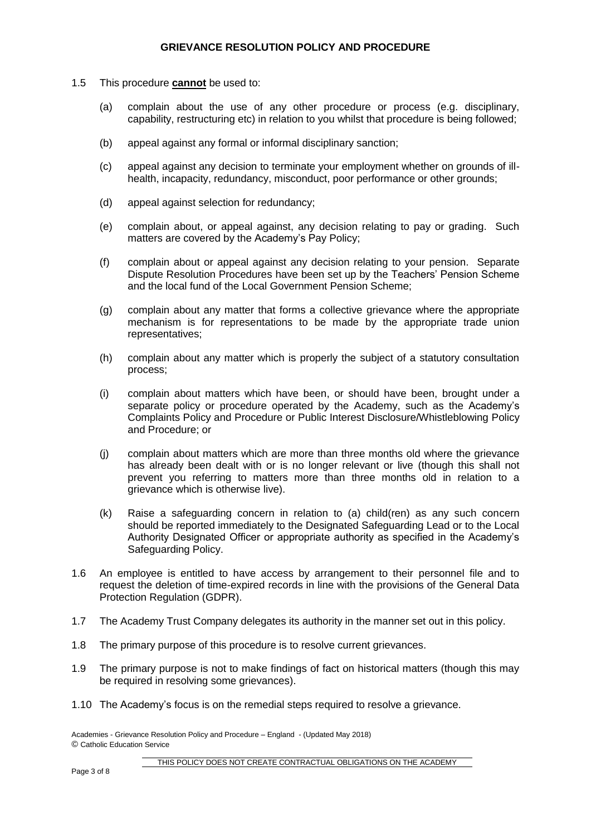- 1.5 This procedure **cannot** be used to:
	- (a) complain about the use of any other procedure or process (e.g. disciplinary, capability, restructuring etc) in relation to you whilst that procedure is being followed;
	- (b) appeal against any formal or informal disciplinary sanction;
	- (c) appeal against any decision to terminate your employment whether on grounds of illhealth, incapacity, redundancy, misconduct, poor performance or other grounds;
	- (d) appeal against selection for redundancy;
	- (e) complain about, or appeal against, any decision relating to pay or grading. Such matters are covered by the Academy's Pay Policy;
	- (f) complain about or appeal against any decision relating to your pension. Separate Dispute Resolution Procedures have been set up by the Teachers' Pension Scheme and the local fund of the Local Government Pension Scheme;
	- (g) complain about any matter that forms a collective grievance where the appropriate mechanism is for representations to be made by the appropriate trade union representatives;
	- (h) complain about any matter which is properly the subject of a statutory consultation process;
	- (i) complain about matters which have been, or should have been, brought under a separate policy or procedure operated by the Academy, such as the Academy's Complaints Policy and Procedure or Public Interest Disclosure/Whistleblowing Policy and Procedure; or
	- (j) complain about matters which are more than three months old where the grievance has already been dealt with or is no longer relevant or live (though this shall not prevent you referring to matters more than three months old in relation to a grievance which is otherwise live).
	- (k) Raise a safeguarding concern in relation to (a) child(ren) as any such concern should be reported immediately to the Designated Safeguarding Lead or to the Local Authority Designated Officer or appropriate authority as specified in the Academy's Safeguarding Policy.
- 1.6 An employee is entitled to have access by arrangement to their personnel file and to request the deletion of time-expired records in line with the provisions of the General Data Protection Regulation (GDPR).
- 1.7 The Academy Trust Company delegates its authority in the manner set out in this policy.
- 1.8 The primary purpose of this procedure is to resolve current grievances.
- 1.9 The primary purpose is not to make findings of fact on historical matters (though this may be required in resolving some grievances).
- 1.10 The Academy's focus is on the remedial steps required to resolve a grievance.

Academies - Grievance Resolution Policy and Procedure – England - (Updated May 2018) © Catholic Education Service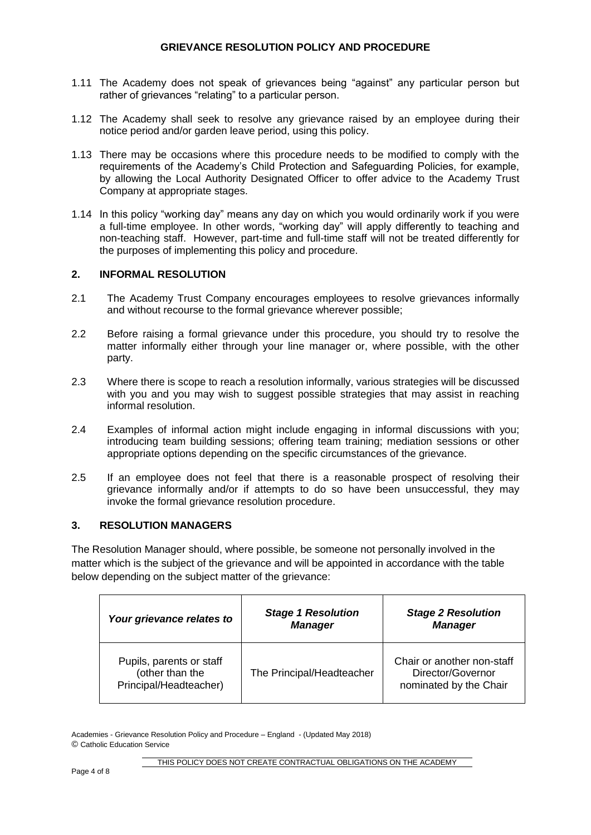- 1.11 The Academy does not speak of grievances being "against" any particular person but rather of grievances "relating" to a particular person.
- 1.12 The Academy shall seek to resolve any grievance raised by an employee during their notice period and/or garden leave period, using this policy.
- 1.13 There may be occasions where this procedure needs to be modified to comply with the requirements of the Academy's Child Protection and Safeguarding Policies, for example, by allowing the Local Authority Designated Officer to offer advice to the Academy Trust Company at appropriate stages.
- 1.14 In this policy "working day" means any day on which you would ordinarily work if you were a full-time employee. In other words, "working day" will apply differently to teaching and non-teaching staff. However, part-time and full-time staff will not be treated differently for the purposes of implementing this policy and procedure.

### **2. INFORMAL RESOLUTION**

- 2.1 The Academy Trust Company encourages employees to resolve grievances informally and without recourse to the formal grievance wherever possible;
- 2.2 Before raising a formal grievance under this procedure, you should try to resolve the matter informally either through your line manager or, where possible, with the other party.
- 2.3 Where there is scope to reach a resolution informally, various strategies will be discussed with you and you may wish to suggest possible strategies that may assist in reaching informal resolution.
- 2.4 Examples of informal action might include engaging in informal discussions with you; introducing team building sessions; offering team training; mediation sessions or other appropriate options depending on the specific circumstances of the grievance.
- 2.5 If an employee does not feel that there is a reasonable prospect of resolving their grievance informally and/or if attempts to do so have been unsuccessful, they may invoke the formal grievance resolution procedure.

### **3. RESOLUTION MANAGERS**

The Resolution Manager should, where possible, be someone not personally involved in the matter which is the subject of the grievance and will be appointed in accordance with the table below depending on the subject matter of the grievance:

| Your grievance relates to                                             | <b>Stage 1 Resolution</b><br><b>Manager</b> | <b>Stage 2 Resolution</b><br><b>Manager</b>                               |
|-----------------------------------------------------------------------|---------------------------------------------|---------------------------------------------------------------------------|
| Pupils, parents or staff<br>(other than the<br>Principal/Headteacher) | The Principal/Headteacher                   | Chair or another non-staff<br>Director/Governor<br>nominated by the Chair |

Academies - Grievance Resolution Policy and Procedure – England - (Updated May 2018) © Catholic Education Service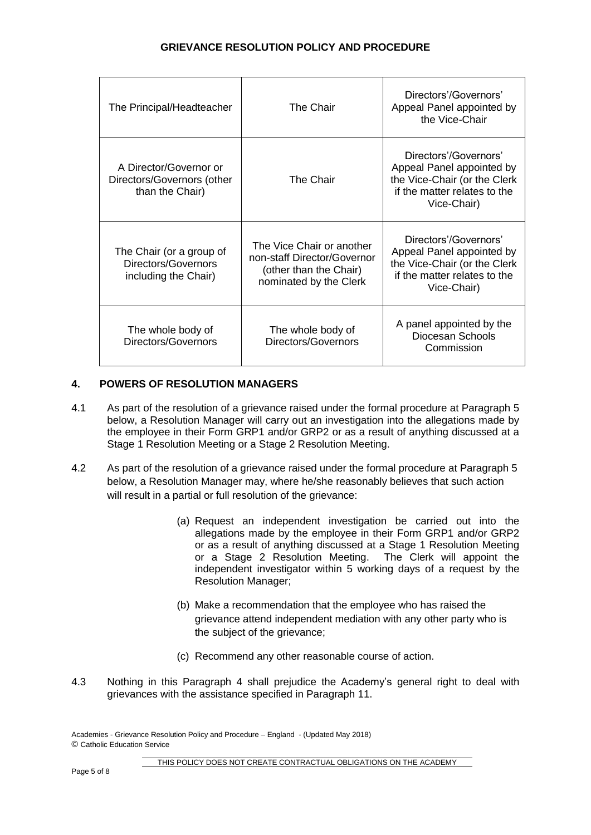| The Principal/Headteacher                                               | The Chair                                                                                                    | Directors'/Governors'<br>Appeal Panel appointed by<br>the Vice-Chair                                                              |
|-------------------------------------------------------------------------|--------------------------------------------------------------------------------------------------------------|-----------------------------------------------------------------------------------------------------------------------------------|
| A Director/Governor or<br>Directors/Governors (other<br>than the Chair) | The Chair                                                                                                    | Directors'/Governors'<br>Appeal Panel appointed by<br>the Vice-Chair (or the Clerk<br>if the matter relates to the<br>Vice-Chair) |
| The Chair (or a group of<br>Directors/Governors<br>including the Chair) | The Vice Chair or another<br>non-staff Director/Governor<br>(other than the Chair)<br>nominated by the Clerk | Directors'/Governors'<br>Appeal Panel appointed by<br>the Vice-Chair (or the Clerk<br>if the matter relates to the<br>Vice-Chair) |
| The whole body of<br>Directors/Governors                                | The whole body of<br>Directors/Governors                                                                     | A panel appointed by the<br>Diocesan Schools<br>Commission                                                                        |

### **4. POWERS OF RESOLUTION MANAGERS**

- 4.1 As part of the resolution of a grievance raised under the formal procedure at Paragraph 5 below, a Resolution Manager will carry out an investigation into the allegations made by the employee in their Form GRP1 and/or GRP2 or as a result of anything discussed at a Stage 1 Resolution Meeting or a Stage 2 Resolution Meeting.
- 4.2 As part of the resolution of a grievance raised under the formal procedure at Paragraph 5 below, a Resolution Manager may, where he/she reasonably believes that such action will result in a partial or full resolution of the grievance:
	- (a) Request an independent investigation be carried out into the allegations made by the employee in their Form GRP1 and/or GRP2 or as a result of anything discussed at a Stage 1 Resolution Meeting or a Stage 2 Resolution Meeting. The Clerk will appoint the independent investigator within 5 working days of a request by the Resolution Manager;
	- (b) Make a recommendation that the employee who has raised the grievance attend independent mediation with any other party who is the subject of the grievance;
	- (c) Recommend any other reasonable course of action.
- 4.3 Nothing in this Paragraph 4 shall prejudice the Academy's general right to deal with grievances with the assistance specified in Paragraph 11.

Academies - Grievance Resolution Policy and Procedure – England - (Updated May 2018) © Catholic Education Service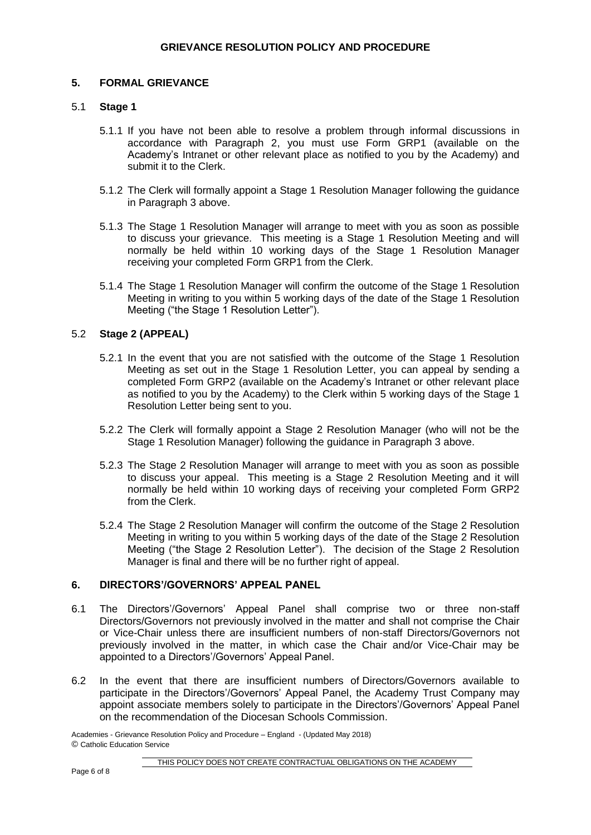### **5. FORMAL GRIEVANCE**

### 5.1 **Stage 1**

- 5.1.1 If you have not been able to resolve a problem through informal discussions in accordance with Paragraph 2, you must use Form GRP1 (available on the Academy's Intranet or other relevant place as notified to you by the Academy) and submit it to the Clerk.
- 5.1.2 The Clerk will formally appoint a Stage 1 Resolution Manager following the guidance in Paragraph 3 above.
- 5.1.3 The Stage 1 Resolution Manager will arrange to meet with you as soon as possible to discuss your grievance. This meeting is a Stage 1 Resolution Meeting and will normally be held within 10 working days of the Stage 1 Resolution Manager receiving your completed Form GRP1 from the Clerk.
- 5.1.4 The Stage 1 Resolution Manager will confirm the outcome of the Stage 1 Resolution Meeting in writing to you within 5 working days of the date of the Stage 1 Resolution Meeting ("the Stage 1 Resolution Letter").

### 5.2 **Stage 2 (APPEAL)**

- 5.2.1 In the event that you are not satisfied with the outcome of the Stage 1 Resolution Meeting as set out in the Stage 1 Resolution Letter, you can appeal by sending a completed Form GRP2 (available on the Academy's Intranet or other relevant place as notified to you by the Academy) to the Clerk within 5 working days of the Stage 1 Resolution Letter being sent to you.
- 5.2.2 The Clerk will formally appoint a Stage 2 Resolution Manager (who will not be the Stage 1 Resolution Manager) following the guidance in Paragraph 3 above.
- 5.2.3 The Stage 2 Resolution Manager will arrange to meet with you as soon as possible to discuss your appeal. This meeting is a Stage 2 Resolution Meeting and it will normally be held within 10 working days of receiving your completed Form GRP2 from the Clerk.
- 5.2.4 The Stage 2 Resolution Manager will confirm the outcome of the Stage 2 Resolution Meeting in writing to you within 5 working days of the date of the Stage 2 Resolution Meeting ("the Stage 2 Resolution Letter"). The decision of the Stage 2 Resolution Manager is final and there will be no further right of appeal.

### **6. DIRECTORS'/GOVERNORS' APPEAL PANEL**

- 6.1 The Directors'/Governors' Appeal Panel shall comprise two or three non-staff Directors/Governors not previously involved in the matter and shall not comprise the Chair or Vice-Chair unless there are insufficient numbers of non-staff Directors/Governors not previously involved in the matter, in which case the Chair and/or Vice-Chair may be appointed to a Directors'/Governors' Appeal Panel.
- 6.2 In the event that there are insufficient numbers of Directors/Governors available to participate in the Directors'/Governors' Appeal Panel, the Academy Trust Company may appoint associate members solely to participate in the Directors'/Governors' Appeal Panel on the recommendation of the Diocesan Schools Commission.

Academies - Grievance Resolution Policy and Procedure – England - (Updated May 2018) © Catholic Education Service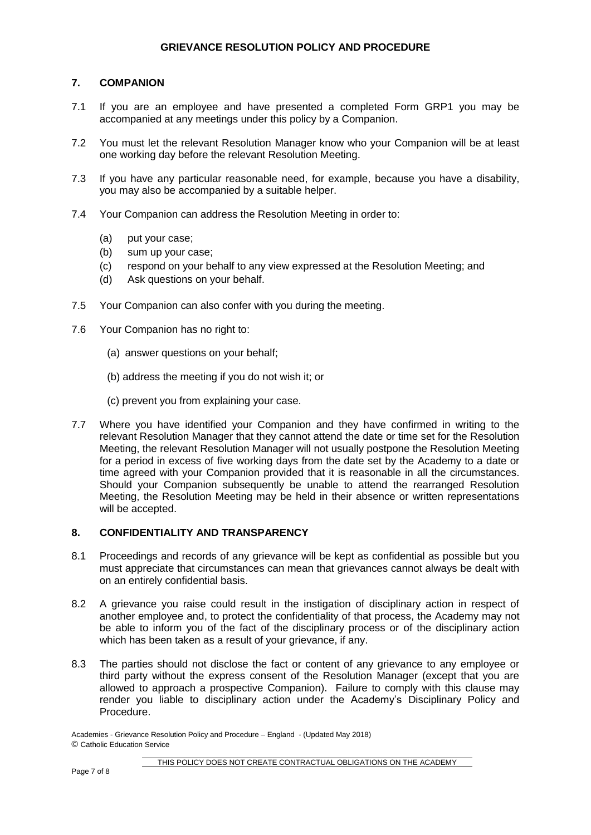# **7. COMPANION**

- 7.1 If you are an employee and have presented a completed Form GRP1 you may be accompanied at any meetings under this policy by a Companion.
- 7.2 You must let the relevant Resolution Manager know who your Companion will be at least one working day before the relevant Resolution Meeting.
- 7.3 If you have any particular reasonable need, for example, because you have a disability, you may also be accompanied by a suitable helper.
- 7.4 Your Companion can address the Resolution Meeting in order to:
	- (a) put your case;
	- (b) sum up your case;
	- (c) respond on your behalf to any view expressed at the Resolution Meeting; and
	- (d) Ask questions on your behalf.
- 7.5 Your Companion can also confer with you during the meeting.
- 7.6 Your Companion has no right to:
	- (a) answer questions on your behalf;
	- (b) address the meeting if you do not wish it; or
	- (c) prevent you from explaining your case.
- 7.7 Where you have identified your Companion and they have confirmed in writing to the relevant Resolution Manager that they cannot attend the date or time set for the Resolution Meeting, the relevant Resolution Manager will not usually postpone the Resolution Meeting for a period in excess of five working days from the date set by the Academy to a date or time agreed with your Companion provided that it is reasonable in all the circumstances. Should your Companion subsequently be unable to attend the rearranged Resolution Meeting, the Resolution Meeting may be held in their absence or written representations will be accepted.

### **8. CONFIDENTIALITY AND TRANSPARENCY**

- 8.1 Proceedings and records of any grievance will be kept as confidential as possible but you must appreciate that circumstances can mean that grievances cannot always be dealt with on an entirely confidential basis.
- 8.2 A grievance you raise could result in the instigation of disciplinary action in respect of another employee and, to protect the confidentiality of that process, the Academy may not be able to inform you of the fact of the disciplinary process or of the disciplinary action which has been taken as a result of your grievance, if any.
- 8.3 The parties should not disclose the fact or content of any grievance to any employee or third party without the express consent of the Resolution Manager (except that you are allowed to approach a prospective Companion). Failure to comply with this clause may render you liable to disciplinary action under the Academy's Disciplinary Policy and Procedure.

Academies - Grievance Resolution Policy and Procedure – England - (Updated May 2018) © Catholic Education Service